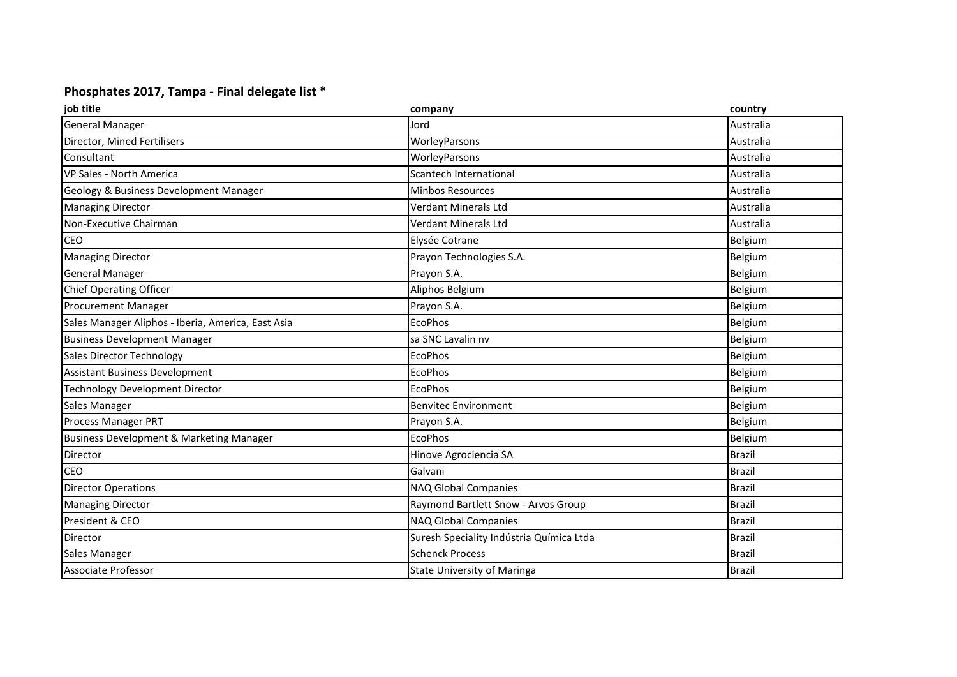## **Phosphates 2017, Tampa - Final delegate list \***

| job title                                           | company                                  | country       |
|-----------------------------------------------------|------------------------------------------|---------------|
| <b>General Manager</b>                              | Jord                                     | Australia     |
| Director, Mined Fertilisers                         | WorleyParsons                            | Australia     |
| Consultant                                          | WorleyParsons                            | Australia     |
| VP Sales - North America                            | Scantech International                   | Australia     |
| Geology & Business Development Manager              | <b>Minbos Resources</b>                  | Australia     |
| <b>Managing Director</b>                            | Verdant Minerals Ltd                     | Australia     |
| Non-Executive Chairman                              | Verdant Minerals Ltd                     | Australia     |
| <b>CEO</b>                                          | Elysée Cotrane                           | Belgium       |
| <b>Managing Director</b>                            | Prayon Technologies S.A.                 | Belgium       |
| <b>General Manager</b>                              | Prayon S.A.                              | Belgium       |
| Chief Operating Officer                             | Aliphos Belgium                          | Belgium       |
| <b>Procurement Manager</b>                          | Prayon S.A.                              | Belgium       |
| Sales Manager Aliphos - Iberia, America, East Asia  | <b>EcoPhos</b>                           | Belgium       |
| <b>Business Development Manager</b>                 | sa SNC Lavalin nv                        | Belgium       |
| Sales Director Technology                           | <b>EcoPhos</b>                           | Belgium       |
| Assistant Business Development                      | EcoPhos                                  | Belgium       |
| Technology Development Director                     | <b>EcoPhos</b>                           | Belgium       |
| Sales Manager                                       | <b>Benvitec Environment</b>              | Belgium       |
| Process Manager PRT                                 | Prayon S.A.                              | Belgium       |
| <b>Business Development &amp; Marketing Manager</b> | EcoPhos                                  | Belgium       |
| Director                                            | Hinove Agrociencia SA                    | Brazil        |
| <b>CEO</b>                                          | Galvani                                  | <b>Brazil</b> |
| <b>Director Operations</b>                          | NAQ Global Companies                     | <b>Brazil</b> |
| <b>Managing Director</b>                            | Raymond Bartlett Snow - Arvos Group      | <b>Brazil</b> |
| President & CEO                                     | NAQ Global Companies                     | <b>Brazil</b> |
| Director                                            | Suresh Speciality Indústria Química Ltda | <b>Brazil</b> |
| <b>Sales Manager</b>                                | <b>Schenck Process</b>                   | <b>Brazil</b> |
| Associate Professor                                 | <b>State University of Maringa</b>       | <b>Brazil</b> |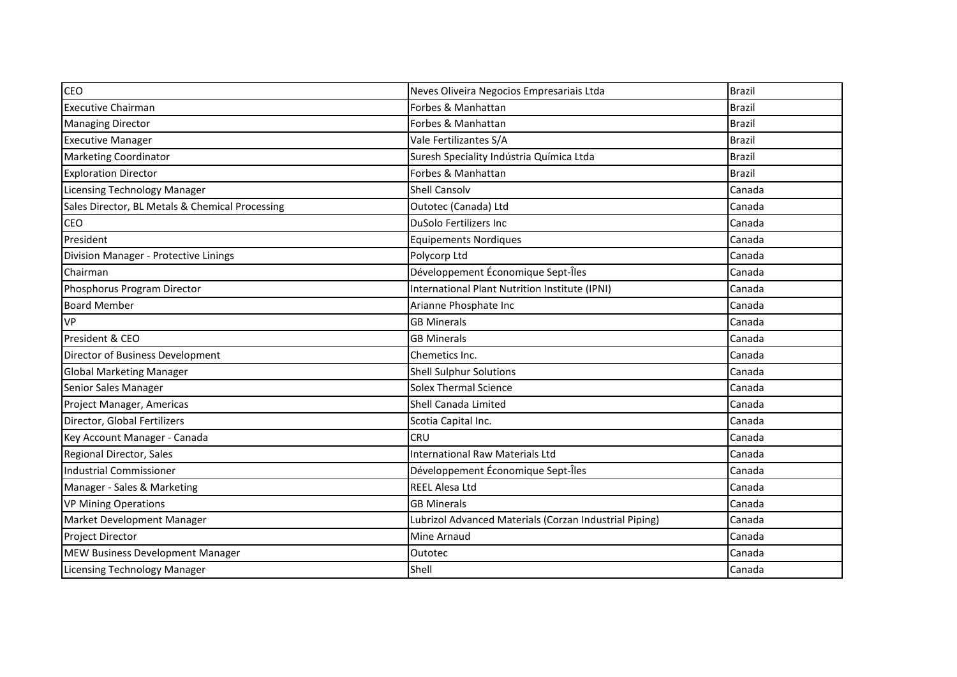| <b>CEO</b>                                      | Neves Oliveira Negocios Empresariais Ltda              | <b>Brazil</b> |
|-------------------------------------------------|--------------------------------------------------------|---------------|
| <b>Executive Chairman</b>                       | Forbes & Manhattan                                     | <b>Brazil</b> |
| <b>Managing Director</b>                        | Forbes & Manhattan                                     | <b>Brazil</b> |
| <b>Executive Manager</b>                        | Vale Fertilizantes S/A                                 | <b>Brazil</b> |
| <b>Marketing Coordinator</b>                    | Suresh Speciality Indústria Química Ltda               | <b>Brazil</b> |
| <b>Exploration Director</b>                     | Forbes & Manhattan                                     | <b>Brazil</b> |
| Licensing Technology Manager                    | <b>Shell Cansolv</b>                                   | Canada        |
| Sales Director, BL Metals & Chemical Processing | Outotec (Canada) Ltd                                   | Canada        |
| CEO                                             | <b>DuSolo Fertilizers Inc</b>                          | Canada        |
| President                                       | <b>Equipements Nordiques</b>                           | Canada        |
| Division Manager - Protective Linings           | Polycorp Ltd                                           | Canada        |
| Chairman                                        | Développement Économique Sept-Îles                     | Canada        |
| Phosphorus Program Director                     | International Plant Nutrition Institute (IPNI)         | Canada        |
| <b>Board Member</b>                             | Arianne Phosphate Inc                                  | Canada        |
| <b>VP</b>                                       | <b>GB Minerals</b>                                     | Canada        |
| President & CEO                                 | <b>GB Minerals</b>                                     | Canada        |
| Director of Business Development                | Chemetics Inc.                                         | Canada        |
| <b>Global Marketing Manager</b>                 | <b>Shell Sulphur Solutions</b>                         | Canada        |
| Senior Sales Manager                            | <b>Solex Thermal Science</b>                           | Canada        |
| Project Manager, Americas                       | Shell Canada Limited                                   | Canada        |
| Director, Global Fertilizers                    | Scotia Capital Inc.                                    | Canada        |
| Key Account Manager - Canada                    | CRU                                                    | Canada        |
| Regional Director, Sales                        | <b>International Raw Materials Ltd</b>                 | Canada        |
| Industrial Commissioner                         | Développement Économique Sept-Îles                     | Canada        |
| Manager - Sales & Marketing                     | <b>REEL Alesa Ltd</b>                                  | Canada        |
| <b>VP Mining Operations</b>                     | <b>GB Minerals</b>                                     | Canada        |
| Market Development Manager                      | Lubrizol Advanced Materials (Corzan Industrial Piping) | Canada        |
| Project Director                                | Mine Arnaud                                            | Canada        |
| <b>MEW Business Development Manager</b>         | Outotec                                                | Canada        |
| Licensing Technology Manager                    | Shell                                                  | Canada        |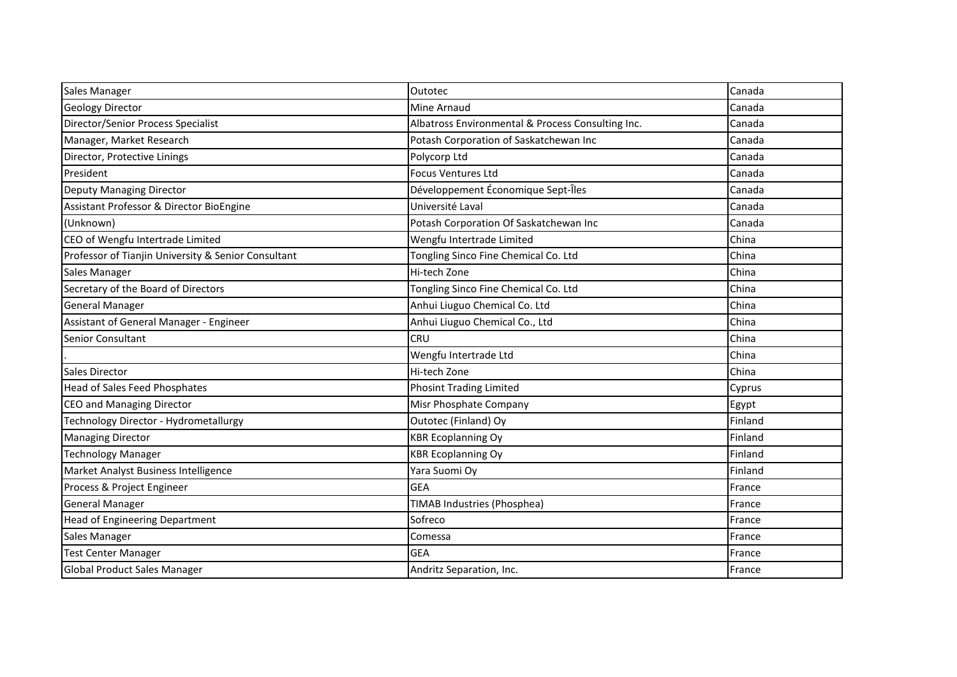| Sales Manager                                       | Outotec                                           | Canada  |
|-----------------------------------------------------|---------------------------------------------------|---------|
| Geology Director                                    | Mine Arnaud                                       | Canada  |
| Director/Senior Process Specialist                  | Albatross Environmental & Process Consulting Inc. | Canada  |
| Manager, Market Research                            | Potash Corporation of Saskatchewan Inc            | Canada  |
| Director, Protective Linings                        | Polycorp Ltd                                      | Canada  |
| President                                           | <b>Focus Ventures Ltd</b>                         | Canada  |
| Deputy Managing Director                            | Développement Économique Sept-Îles                | Canada  |
| Assistant Professor & Director BioEngine            | Université Laval                                  | Canada  |
| (Unknown)                                           | Potash Corporation Of Saskatchewan Inc            | Canada  |
| CEO of Wengfu Intertrade Limited                    | Wengfu Intertrade Limited                         | China   |
| Professor of Tianjin University & Senior Consultant | Tongling Sinco Fine Chemical Co. Ltd              | China   |
| Sales Manager                                       | Hi-tech Zone                                      | China   |
| Secretary of the Board of Directors                 | Tongling Sinco Fine Chemical Co. Ltd              | China   |
| <b>General Manager</b>                              | Anhui Liuguo Chemical Co. Ltd                     | China   |
| Assistant of General Manager - Engineer             | Anhui Liuguo Chemical Co., Ltd                    | China   |
| <b>Senior Consultant</b>                            | <b>CRU</b>                                        | China   |
|                                                     | Wengfu Intertrade Ltd                             | China   |
| Sales Director                                      | Hi-tech Zone                                      | China   |
| Head of Sales Feed Phosphates                       | <b>Phosint Trading Limited</b>                    | Cyprus  |
| <b>CEO and Managing Director</b>                    | Misr Phosphate Company                            | Egypt   |
| Technology Director - Hydrometallurgy               | Outotec (Finland) Oy                              | Finland |
| <b>Managing Director</b>                            | <b>KBR Ecoplanning Oy</b>                         | Finland |
| <b>Technology Manager</b>                           | <b>KBR Ecoplanning Oy</b>                         | Finland |
| Market Analyst Business Intelligence                | Yara Suomi Oy                                     | Finland |
| Process & Project Engineer                          | <b>GEA</b>                                        | France  |
| <b>General Manager</b>                              | <b>TIMAB Industries (Phosphea)</b>                | France  |
| Head of Engineering Department                      | Sofreco                                           | France  |
| Sales Manager                                       | Comessa                                           | France  |
| <b>Test Center Manager</b>                          | <b>GEA</b>                                        | France  |
| <b>Global Product Sales Manager</b>                 | Andritz Separation, Inc.                          | France  |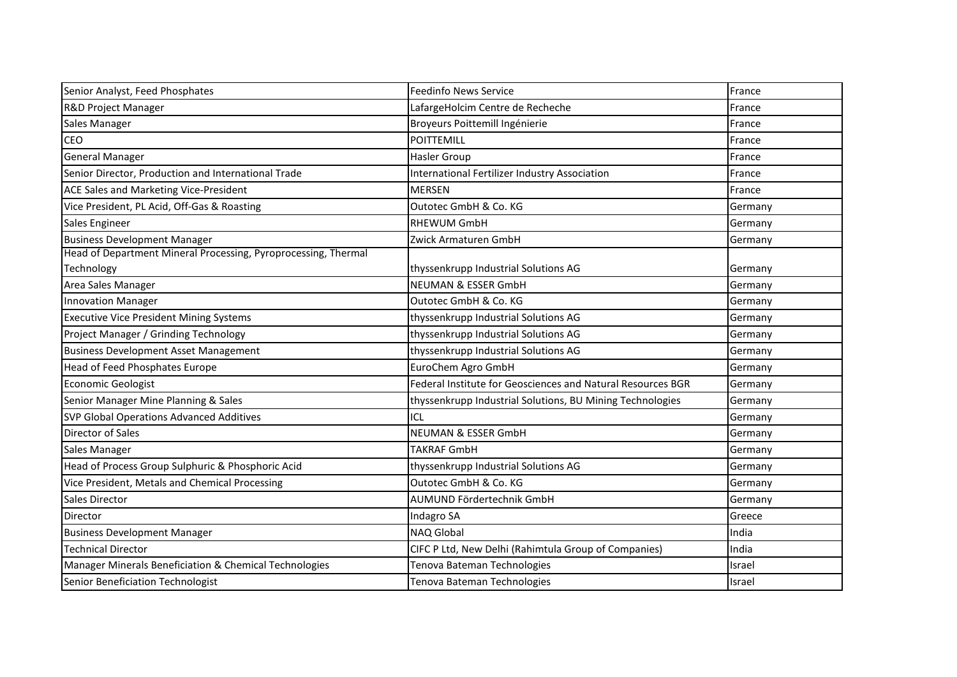| Senior Analyst, Feed Phosphates                                | <b>Feedinfo News Service</b>                                | France  |
|----------------------------------------------------------------|-------------------------------------------------------------|---------|
| R&D Project Manager                                            | LafargeHolcim Centre de Recheche                            | France  |
| Sales Manager                                                  | Broyeurs Poittemill Ingénierie                              | France  |
| <b>CEO</b>                                                     | <b>POITTEMILL</b>                                           | France  |
| <b>General Manager</b>                                         | Hasler Group                                                | France  |
| Senior Director, Production and International Trade            | International Fertilizer Industry Association               | France  |
| <b>ACE Sales and Marketing Vice-President</b>                  | <b>MERSEN</b>                                               | France  |
| Vice President, PL Acid, Off-Gas & Roasting                    | Outotec GmbH & Co. KG                                       | Germany |
| Sales Engineer                                                 | <b>RHEWUM GmbH</b>                                          | Germany |
| <b>Business Development Manager</b>                            | Zwick Armaturen GmbH                                        | Germany |
| Head of Department Mineral Processing, Pyroprocessing, Thermal |                                                             |         |
| Technology                                                     | thyssenkrupp Industrial Solutions AG                        | Germany |
| Area Sales Manager                                             | <b>NEUMAN &amp; ESSER GmbH</b>                              | Germany |
| <b>Innovation Manager</b>                                      | Outotec GmbH & Co. KG                                       | Germany |
| <b>Executive Vice President Mining Systems</b>                 | thyssenkrupp Industrial Solutions AG                        | Germany |
| Project Manager / Grinding Technology                          | thyssenkrupp Industrial Solutions AG                        | Germany |
| <b>Business Development Asset Management</b>                   | thyssenkrupp Industrial Solutions AG                        | Germany |
| Head of Feed Phosphates Europe                                 | EuroChem Agro GmbH                                          | Germany |
| <b>Economic Geologist</b>                                      | Federal Institute for Geosciences and Natural Resources BGR | Germany |
| Senior Manager Mine Planning & Sales                           | thyssenkrupp Industrial Solutions, BU Mining Technologies   | Germany |
| <b>SVP Global Operations Advanced Additives</b>                | ICL                                                         | Germany |
| <b>Director of Sales</b>                                       | <b>NEUMAN &amp; ESSER GmbH</b>                              | Germany |
| Sales Manager                                                  | <b>TAKRAF GmbH</b>                                          | Germany |
| Head of Process Group Sulphuric & Phosphoric Acid              | thyssenkrupp Industrial Solutions AG                        | Germany |
| Vice President, Metals and Chemical Processing                 | Outotec GmbH & Co. KG                                       | Germany |
| <b>Sales Director</b>                                          | AUMUND Fördertechnik GmbH                                   | Germany |
| <b>Director</b>                                                | Indagro SA                                                  | Greece  |
| <b>Business Development Manager</b>                            | <b>NAQ Global</b>                                           | India   |
| <b>Technical Director</b>                                      | CIFC P Ltd, New Delhi (Rahimtula Group of Companies)        | India   |
| Manager Minerals Beneficiation & Chemical Technologies         | Tenova Bateman Technologies                                 | Israel  |
| Senior Beneficiation Technologist                              | Tenova Bateman Technologies                                 | Israel  |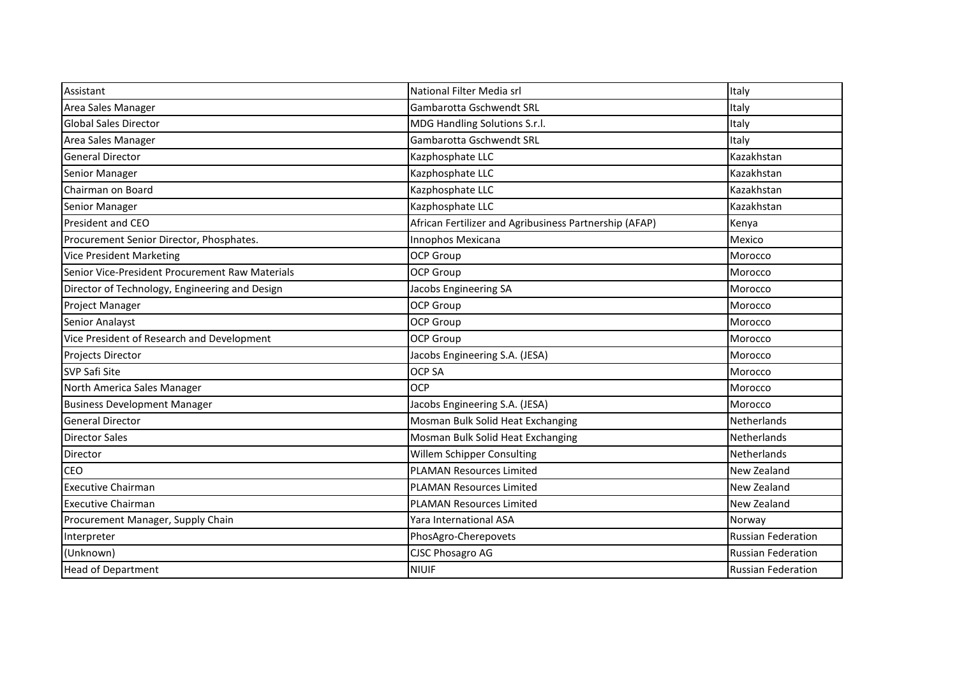| Assistant                                       | National Filter Media srl                              | Italy                     |
|-------------------------------------------------|--------------------------------------------------------|---------------------------|
| Area Sales Manager                              | Gambarotta Gschwendt SRL                               | Italy                     |
| Global Sales Director                           | MDG Handling Solutions S.r.l.                          | Italy                     |
| Area Sales Manager                              | Gambarotta Gschwendt SRL                               | Italy                     |
| <b>General Director</b>                         | Kazphosphate LLC                                       | Kazakhstan                |
| Senior Manager                                  | Kazphosphate LLC                                       | Kazakhstan                |
| Chairman on Board                               | Kazphosphate LLC                                       | Kazakhstan                |
| Senior Manager                                  | Kazphosphate LLC                                       | Kazakhstan                |
| President and CEO                               | African Fertilizer and Agribusiness Partnership (AFAP) | Kenya                     |
| Procurement Senior Director, Phosphates.        | Innophos Mexicana                                      | Mexico                    |
| <b>Vice President Marketing</b>                 | <b>OCP Group</b>                                       | Morocco                   |
| Senior Vice-President Procurement Raw Materials | <b>OCP Group</b>                                       | Morocco                   |
| Director of Technology, Engineering and Design  | Jacobs Engineering SA                                  | Morocco                   |
| Project Manager                                 | <b>OCP Group</b>                                       | Morocco                   |
| Senior Analayst                                 | <b>OCP Group</b>                                       | Morocco                   |
| Vice President of Research and Development      | <b>OCP Group</b>                                       | Morocco                   |
| Projects Director                               | Jacobs Engineering S.A. (JESA)                         | Morocco                   |
| <b>SVP Safi Site</b>                            | <b>OCP SA</b>                                          | Morocco                   |
| North America Sales Manager                     | <b>OCP</b>                                             | Morocco                   |
| <b>Business Development Manager</b>             | Jacobs Engineering S.A. (JESA)                         | Morocco                   |
| <b>General Director</b>                         | Mosman Bulk Solid Heat Exchanging                      | Netherlands               |
| <b>Director Sales</b>                           | Mosman Bulk Solid Heat Exchanging                      | Netherlands               |
| <b>Director</b>                                 | Willem Schipper Consulting                             | Netherlands               |
| <b>CEO</b>                                      | <b>PLAMAN Resources Limited</b>                        | New Zealand               |
| <b>Executive Chairman</b>                       | <b>PLAMAN Resources Limited</b>                        | New Zealand               |
| <b>Executive Chairman</b>                       | <b>PLAMAN Resources Limited</b>                        | New Zealand               |
| Procurement Manager, Supply Chain               | Yara International ASA                                 | Norway                    |
| Interpreter                                     | PhosAgro-Cherepovets                                   | <b>Russian Federation</b> |
| (Unknown)                                       | <b>CJSC Phosagro AG</b>                                | <b>Russian Federation</b> |
| <b>Head of Department</b>                       | <b>NIUIF</b>                                           | <b>Russian Federation</b> |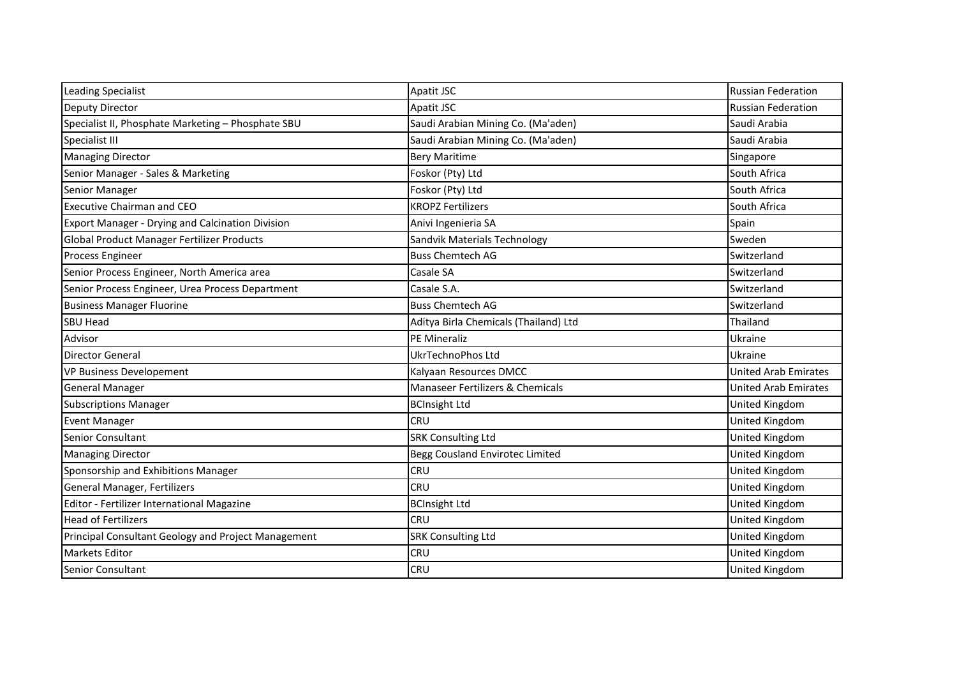| <b>Leading Specialist</b>                               | Apatit JSC                            | <b>Russian Federation</b>   |
|---------------------------------------------------------|---------------------------------------|-----------------------------|
| <b>Deputy Director</b>                                  | Apatit JSC                            | <b>Russian Federation</b>   |
| Specialist II, Phosphate Marketing - Phosphate SBU      | Saudi Arabian Mining Co. (Ma'aden)    | Saudi Arabia                |
| Specialist III                                          | Saudi Arabian Mining Co. (Ma'aden)    | Saudi Arabia                |
| <b>Managing Director</b>                                | <b>Bery Maritime</b>                  | Singapore                   |
| Senior Manager - Sales & Marketing                      | Foskor (Pty) Ltd                      | South Africa                |
| Senior Manager                                          | Foskor (Pty) Ltd                      | South Africa                |
| <b>Executive Chairman and CEO</b>                       | <b>KROPZ Fertilizers</b>              | South Africa                |
| <b>Export Manager - Drying and Calcination Division</b> | Anivi Ingenieria SA                   | Spain                       |
| <b>Global Product Manager Fertilizer Products</b>       | Sandvik Materials Technology          | Sweden                      |
| Process Engineer                                        | <b>Buss Chemtech AG</b>               | Switzerland                 |
| Senior Process Engineer, North America area             | Casale SA                             | Switzerland                 |
| Senior Process Engineer, Urea Process Department        | Casale S.A.                           | Switzerland                 |
| <b>Business Manager Fluorine</b>                        | <b>Buss Chemtech AG</b>               | Switzerland                 |
| SBU Head                                                | Aditya Birla Chemicals (Thailand) Ltd | Thailand                    |
| Advisor                                                 | PE Mineraliz                          | Ukraine                     |
| <b>Director General</b>                                 | UkrTechnoPhos Ltd                     | Ukraine                     |
| VP Business Developement                                | Kalyaan Resources DMCC                | <b>United Arab Emirates</b> |
| <b>General Manager</b>                                  | Manaseer Fertilizers & Chemicals      | <b>United Arab Emirates</b> |
| <b>Subscriptions Manager</b>                            | <b>BCInsight Ltd</b>                  | United Kingdom              |
| <b>Event Manager</b>                                    | <b>CRU</b>                            | United Kingdom              |
| Senior Consultant                                       | <b>SRK Consulting Ltd</b>             | United Kingdom              |
| <b>Managing Director</b>                                | Begg Cousland Envirotec Limited       | United Kingdom              |
| Sponsorship and Exhibitions Manager                     | <b>CRU</b>                            | United Kingdom              |
| General Manager, Fertilizers                            | <b>CRU</b>                            | United Kingdom              |
| Editor - Fertilizer International Magazine              | <b>BCInsight Ltd</b>                  | United Kingdom              |
| <b>Head of Fertilizers</b>                              | <b>CRU</b>                            | United Kingdom              |
| Principal Consultant Geology and Project Management     | <b>SRK Consulting Ltd</b>             | United Kingdom              |
| <b>Markets Editor</b>                                   | <b>CRU</b>                            | United Kingdom              |
| Senior Consultant                                       | <b>CRU</b>                            | United Kingdom              |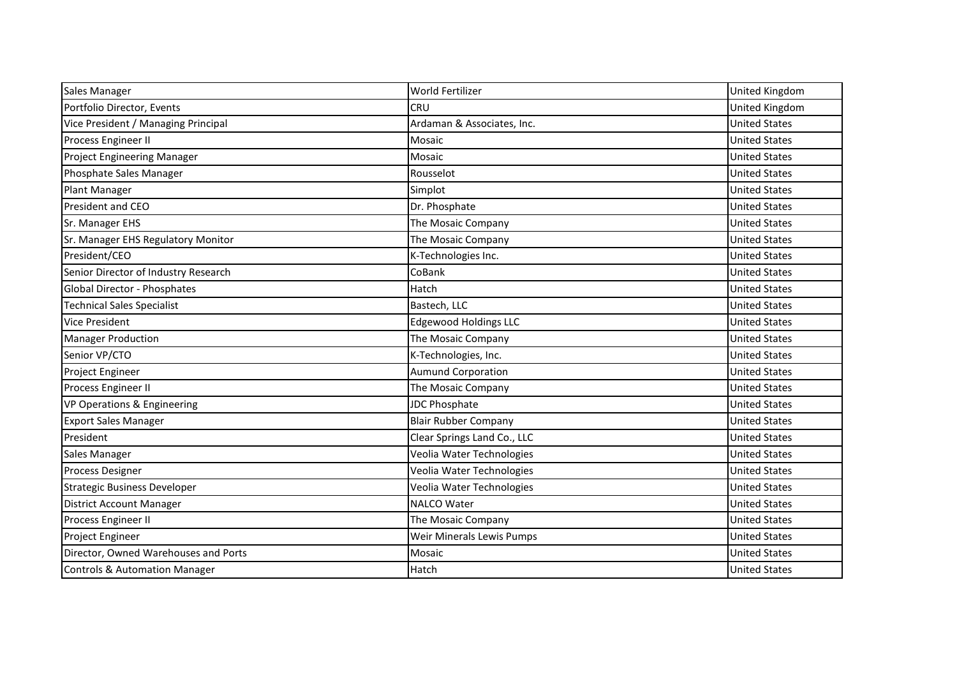| Sales Manager                        | World Fertilizer             | United Kingdom       |
|--------------------------------------|------------------------------|----------------------|
| Portfolio Director, Events           | <b>CRU</b>                   | United Kingdom       |
| Vice President / Managing Principal  | Ardaman & Associates, Inc.   | <b>United States</b> |
| Process Engineer II                  | Mosaic                       | <b>United States</b> |
| <b>Project Engineering Manager</b>   | Mosaic                       | <b>United States</b> |
| Phosphate Sales Manager              | Rousselot                    | <b>United States</b> |
| Plant Manager                        | Simplot                      | <b>United States</b> |
| President and CEO                    | Dr. Phosphate                | <b>United States</b> |
| Sr. Manager EHS                      | The Mosaic Company           | <b>United States</b> |
| Sr. Manager EHS Regulatory Monitor   | The Mosaic Company           | <b>United States</b> |
| President/CEO                        | K-Technologies Inc.          | <b>United States</b> |
| Senior Director of Industry Research | CoBank                       | <b>United States</b> |
| Global Director - Phosphates         | Hatch                        | <b>United States</b> |
| <b>Technical Sales Specialist</b>    | Bastech, LLC                 | <b>United States</b> |
| <b>Vice President</b>                | <b>Edgewood Holdings LLC</b> | <b>United States</b> |
| <b>Manager Production</b>            | The Mosaic Company           | <b>United States</b> |
| Senior VP/CTO                        | K-Technologies, Inc.         | <b>United States</b> |
| Project Engineer                     | <b>Aumund Corporation</b>    | <b>United States</b> |
| Process Engineer II                  | The Mosaic Company           | <b>United States</b> |
| VP Operations & Engineering          | <b>JDC Phosphate</b>         | <b>United States</b> |
| <b>Export Sales Manager</b>          | <b>Blair Rubber Company</b>  | <b>United States</b> |
| President                            | Clear Springs Land Co., LLC  | <b>United States</b> |
| Sales Manager                        | Veolia Water Technologies    | <b>United States</b> |
| <b>Process Designer</b>              | Veolia Water Technologies    | <b>United States</b> |
| <b>Strategic Business Developer</b>  | Veolia Water Technologies    | <b>United States</b> |
| <b>District Account Manager</b>      | <b>NALCO Water</b>           | <b>United States</b> |
| Process Engineer II                  | The Mosaic Company           | <b>United States</b> |
| Project Engineer                     | Weir Minerals Lewis Pumps    | <b>United States</b> |
| Director, Owned Warehouses and Ports | Mosaic                       | <b>United States</b> |
| Controls & Automation Manager        | Hatch                        | <b>United States</b> |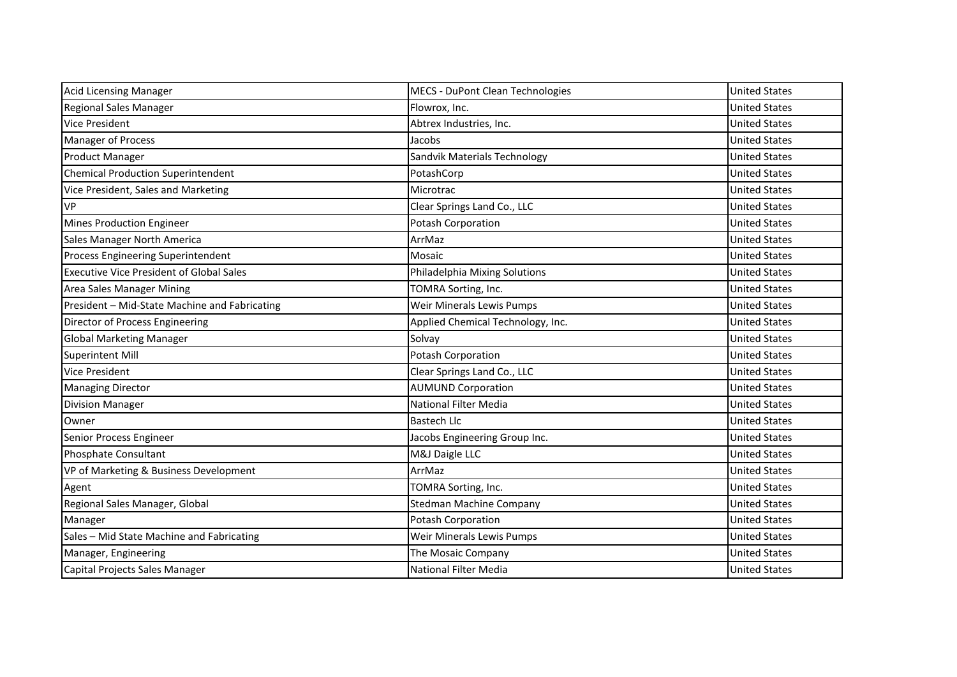| <b>Acid Licensing Manager</b>                   | <b>MECS - DuPont Clean Technologies</b> | <b>United States</b> |
|-------------------------------------------------|-----------------------------------------|----------------------|
| <b>Regional Sales Manager</b>                   | Flowrox, Inc.                           | <b>United States</b> |
| <b>Vice President</b>                           | Abtrex Industries, Inc.                 | <b>United States</b> |
| <b>Manager of Process</b>                       | Jacobs                                  | <b>United States</b> |
| <b>Product Manager</b>                          | Sandvik Materials Technology            | <b>United States</b> |
| <b>Chemical Production Superintendent</b>       | PotashCorp                              | <b>United States</b> |
| Vice President, Sales and Marketing             | Microtrac                               | <b>United States</b> |
| <b>VP</b>                                       | Clear Springs Land Co., LLC             | <b>United States</b> |
| <b>Mines Production Engineer</b>                | Potash Corporation                      | <b>United States</b> |
| Sales Manager North America                     | ArrMaz                                  | <b>United States</b> |
| Process Engineering Superintendent              | Mosaic                                  | <b>United States</b> |
| <b>Executive Vice President of Global Sales</b> | Philadelphia Mixing Solutions           | <b>United States</b> |
| Area Sales Manager Mining                       | TOMRA Sorting, Inc.                     | <b>United States</b> |
| President - Mid-State Machine and Fabricating   | Weir Minerals Lewis Pumps               | <b>United States</b> |
| Director of Process Engineering                 | Applied Chemical Technology, Inc.       | <b>United States</b> |
| <b>Global Marketing Manager</b>                 | Solvay                                  | <b>United States</b> |
| <b>Superintent Mill</b>                         | Potash Corporation                      | <b>United States</b> |
| <b>Vice President</b>                           | Clear Springs Land Co., LLC             | <b>United States</b> |
| <b>Managing Director</b>                        | <b>AUMUND Corporation</b>               | <b>United States</b> |
| <b>Division Manager</b>                         | <b>National Filter Media</b>            | <b>United States</b> |
| Owner                                           | <b>Bastech Llc</b>                      | <b>United States</b> |
| Senior Process Engineer                         | Jacobs Engineering Group Inc.           | <b>United States</b> |
| <b>Phosphate Consultant</b>                     | M&J Daigle LLC                          | <b>United States</b> |
| VP of Marketing & Business Development          | ArrMaz                                  | <b>United States</b> |
| Agent                                           | TOMRA Sorting, Inc.                     | <b>United States</b> |
| Regional Sales Manager, Global                  | <b>Stedman Machine Company</b>          | <b>United States</b> |
| Manager                                         | Potash Corporation                      | <b>United States</b> |
| Sales - Mid State Machine and Fabricating       | Weir Minerals Lewis Pumps               | <b>United States</b> |
| Manager, Engineering                            | The Mosaic Company                      | <b>United States</b> |
| Capital Projects Sales Manager                  | <b>National Filter Media</b>            | <b>United States</b> |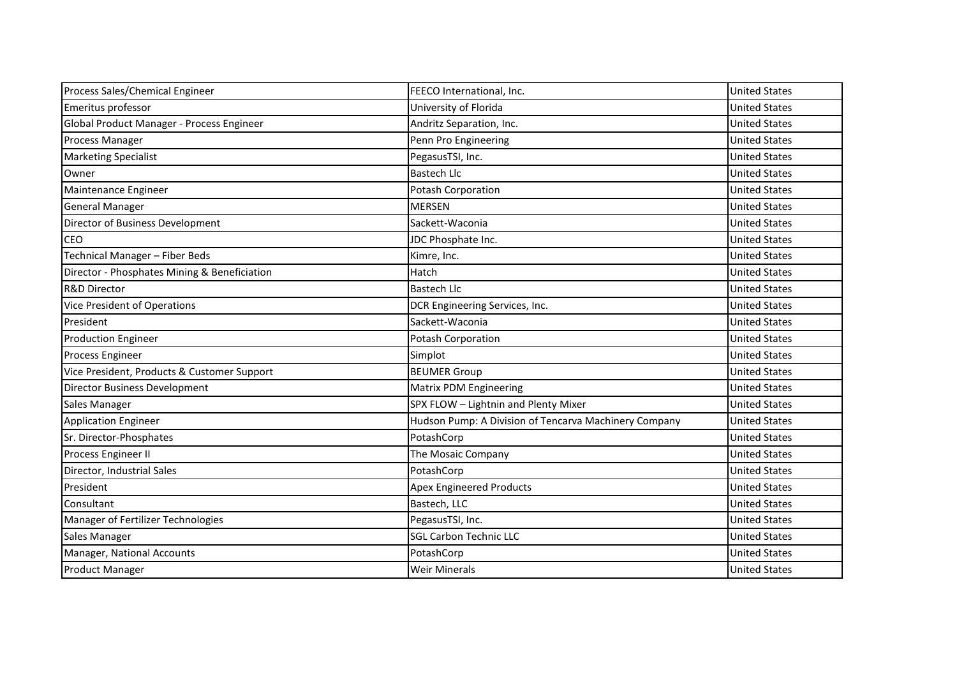| Process Sales/Chemical Engineer              | FEECO International, Inc.                             | <b>United States</b> |
|----------------------------------------------|-------------------------------------------------------|----------------------|
| Emeritus professor                           | University of Florida                                 | <b>United States</b> |
| Global Product Manager - Process Engineer    | Andritz Separation, Inc.                              | <b>United States</b> |
| <b>Process Manager</b>                       | Penn Pro Engineering                                  | <b>United States</b> |
| <b>Marketing Specialist</b>                  | PegasusTSI, Inc.                                      | <b>United States</b> |
| Owner                                        | <b>Bastech Llc</b>                                    | <b>United States</b> |
| Maintenance Engineer                         | Potash Corporation                                    | <b>United States</b> |
| <b>General Manager</b>                       | <b>MERSEN</b>                                         | <b>United States</b> |
| Director of Business Development             | Sackett-Waconia                                       | <b>United States</b> |
| <b>CEO</b>                                   | JDC Phosphate Inc.                                    | <b>United States</b> |
| Technical Manager - Fiber Beds               | Kimre, Inc.                                           | <b>United States</b> |
| Director - Phosphates Mining & Beneficiation | Hatch                                                 | <b>United States</b> |
| <b>R&amp;D Director</b>                      | <b>Bastech Llc</b>                                    | <b>United States</b> |
| <b>Vice President of Operations</b>          | DCR Engineering Services, Inc.                        | <b>United States</b> |
| President                                    | Sackett-Waconia                                       | <b>United States</b> |
| <b>Production Engineer</b>                   | <b>Potash Corporation</b>                             | <b>United States</b> |
| Process Engineer                             | Simplot                                               | <b>United States</b> |
| Vice President, Products & Customer Support  | <b>BEUMER Group</b>                                   | <b>United States</b> |
| Director Business Development                | <b>Matrix PDM Engineering</b>                         | <b>United States</b> |
| Sales Manager                                | SPX FLOW - Lightnin and Plenty Mixer                  | <b>United States</b> |
| <b>Application Engineer</b>                  | Hudson Pump: A Division of Tencarva Machinery Company | <b>United States</b> |
| Sr. Director-Phosphates                      | PotashCorp                                            | <b>United States</b> |
| Process Engineer II                          | The Mosaic Company                                    | <b>United States</b> |
| Director, Industrial Sales                   | PotashCorp                                            | <b>United States</b> |
| President                                    | <b>Apex Engineered Products</b>                       | <b>United States</b> |
| Consultant                                   | Bastech, LLC                                          | <b>United States</b> |
| Manager of Fertilizer Technologies           | PegasusTSI, Inc.                                      | <b>United States</b> |
| Sales Manager                                | <b>SGL Carbon Technic LLC</b>                         | <b>United States</b> |
| Manager, National Accounts                   | PotashCorp                                            | <b>United States</b> |
| <b>Product Manager</b>                       | <b>Weir Minerals</b>                                  | <b>United States</b> |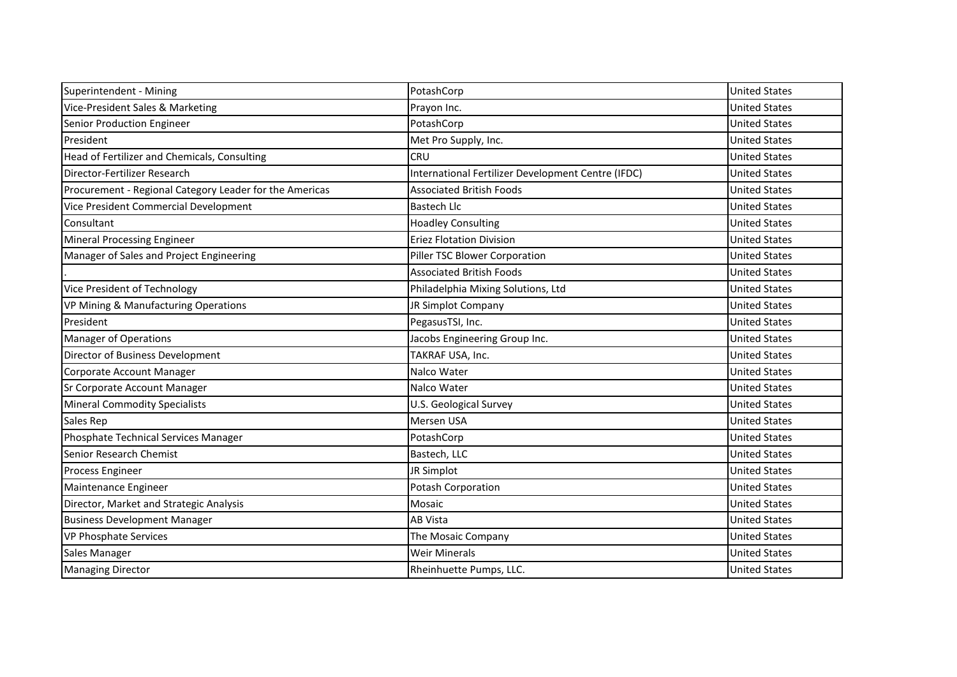| Superintendent - Mining                                 | PotashCorp                                         | <b>United States</b> |
|---------------------------------------------------------|----------------------------------------------------|----------------------|
| Vice-President Sales & Marketing                        | Prayon Inc.                                        | <b>United States</b> |
| Senior Production Engineer                              | PotashCorp                                         | <b>United States</b> |
| President                                               | Met Pro Supply, Inc.                               | <b>United States</b> |
| Head of Fertilizer and Chemicals, Consulting            | CRU                                                | <b>United States</b> |
| Director-Fertilizer Research                            | International Fertilizer Development Centre (IFDC) | <b>United States</b> |
| Procurement - Regional Category Leader for the Americas | <b>Associated British Foods</b>                    | <b>United States</b> |
| Vice President Commercial Development                   | <b>Bastech Llc</b>                                 | <b>United States</b> |
| Consultant                                              | <b>Hoadley Consulting</b>                          | <b>United States</b> |
| <b>Mineral Processing Engineer</b>                      | <b>Eriez Flotation Division</b>                    | <b>United States</b> |
| Manager of Sales and Project Engineering                | Piller TSC Blower Corporation                      | <b>United States</b> |
|                                                         | <b>Associated British Foods</b>                    | <b>United States</b> |
| Vice President of Technology                            | Philadelphia Mixing Solutions, Ltd                 | <b>United States</b> |
| <b>VP Mining &amp; Manufacturing Operations</b>         | JR Simplot Company                                 | <b>United States</b> |
| President                                               | PegasusTSI, Inc.                                   | <b>United States</b> |
| <b>Manager of Operations</b>                            | Jacobs Engineering Group Inc.                      | <b>United States</b> |
| Director of Business Development                        | TAKRAF USA, Inc.                                   | <b>United States</b> |
| Corporate Account Manager                               | Nalco Water                                        | <b>United States</b> |
| Sr Corporate Account Manager                            | Nalco Water                                        | <b>United States</b> |
| <b>Mineral Commodity Specialists</b>                    | U.S. Geological Survey                             | <b>United States</b> |
| Sales Rep                                               | Mersen USA                                         | <b>United States</b> |
| Phosphate Technical Services Manager                    | PotashCorp                                         | <b>United States</b> |
| Senior Research Chemist                                 | Bastech, LLC                                       | <b>United States</b> |
| Process Engineer                                        | JR Simplot                                         | <b>United States</b> |
| Maintenance Engineer                                    | Potash Corporation                                 | <b>United States</b> |
| Director, Market and Strategic Analysis                 | Mosaic                                             | <b>United States</b> |
| <b>Business Development Manager</b>                     | <b>AB Vista</b>                                    | <b>United States</b> |
| VP Phosphate Services                                   | The Mosaic Company                                 | <b>United States</b> |
| Sales Manager                                           | <b>Weir Minerals</b>                               | <b>United States</b> |
| <b>Managing Director</b>                                | Rheinhuette Pumps, LLC.                            | <b>United States</b> |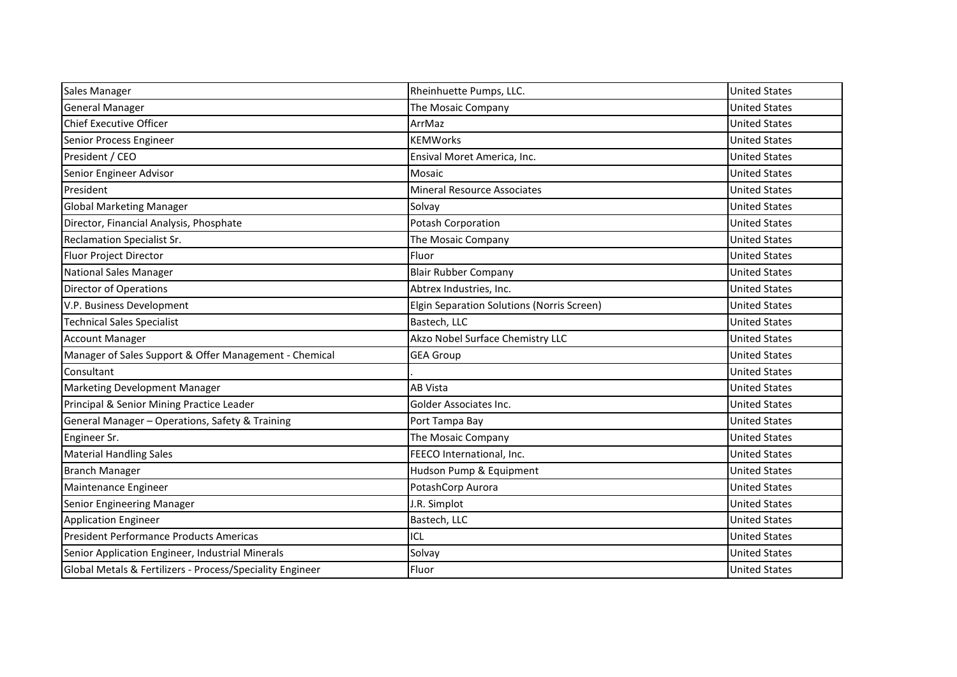| Sales Manager                                             | Rheinhuette Pumps, LLC.                    | <b>United States</b> |
|-----------------------------------------------------------|--------------------------------------------|----------------------|
| General Manager                                           | The Mosaic Company                         | <b>United States</b> |
| <b>Chief Executive Officer</b>                            | ArrMaz                                     | <b>United States</b> |
| Senior Process Engineer                                   | <b>KEMWorks</b>                            | <b>United States</b> |
| President / CEO                                           | Ensival Moret America, Inc.                | <b>United States</b> |
| Senior Engineer Advisor                                   | Mosaic                                     | <b>United States</b> |
| President                                                 | <b>Mineral Resource Associates</b>         | <b>United States</b> |
| <b>Global Marketing Manager</b>                           | Solvay                                     | <b>United States</b> |
| Director, Financial Analysis, Phosphate                   | Potash Corporation                         | <b>United States</b> |
| <b>Reclamation Specialist Sr.</b>                         | The Mosaic Company                         | <b>United States</b> |
| Fluor Project Director                                    | Fluor                                      | <b>United States</b> |
| <b>National Sales Manager</b>                             | <b>Blair Rubber Company</b>                | <b>United States</b> |
| <b>Director of Operations</b>                             | Abtrex Industries, Inc.                    | <b>United States</b> |
| V.P. Business Development                                 | Elgin Separation Solutions (Norris Screen) | <b>United States</b> |
| <b>Technical Sales Specialist</b>                         | Bastech, LLC                               | <b>United States</b> |
| <b>Account Manager</b>                                    | Akzo Nobel Surface Chemistry LLC           | <b>United States</b> |
| Manager of Sales Support & Offer Management - Chemical    | <b>GEA Group</b>                           | <b>United States</b> |
| Consultant                                                |                                            | <b>United States</b> |
| Marketing Development Manager                             | <b>AB Vista</b>                            | <b>United States</b> |
| Principal & Senior Mining Practice Leader                 | Golder Associates Inc.                     | <b>United States</b> |
| General Manager - Operations, Safety & Training           | Port Tampa Bay                             | <b>United States</b> |
| Engineer Sr.                                              | The Mosaic Company                         | <b>United States</b> |
| <b>Material Handling Sales</b>                            | FEECO International, Inc.                  | <b>United States</b> |
| <b>Branch Manager</b>                                     | Hudson Pump & Equipment                    | <b>United States</b> |
| Maintenance Engineer                                      | PotashCorp Aurora                          | <b>United States</b> |
| Senior Engineering Manager                                | J.R. Simplot                               | <b>United States</b> |
| <b>Application Engineer</b>                               | Bastech, LLC                               | <b>United States</b> |
| President Performance Products Americas                   | ICL                                        | <b>United States</b> |
| Senior Application Engineer, Industrial Minerals          | Solvay                                     | <b>United States</b> |
| Global Metals & Fertilizers - Process/Speciality Engineer | Fluor                                      | <b>United States</b> |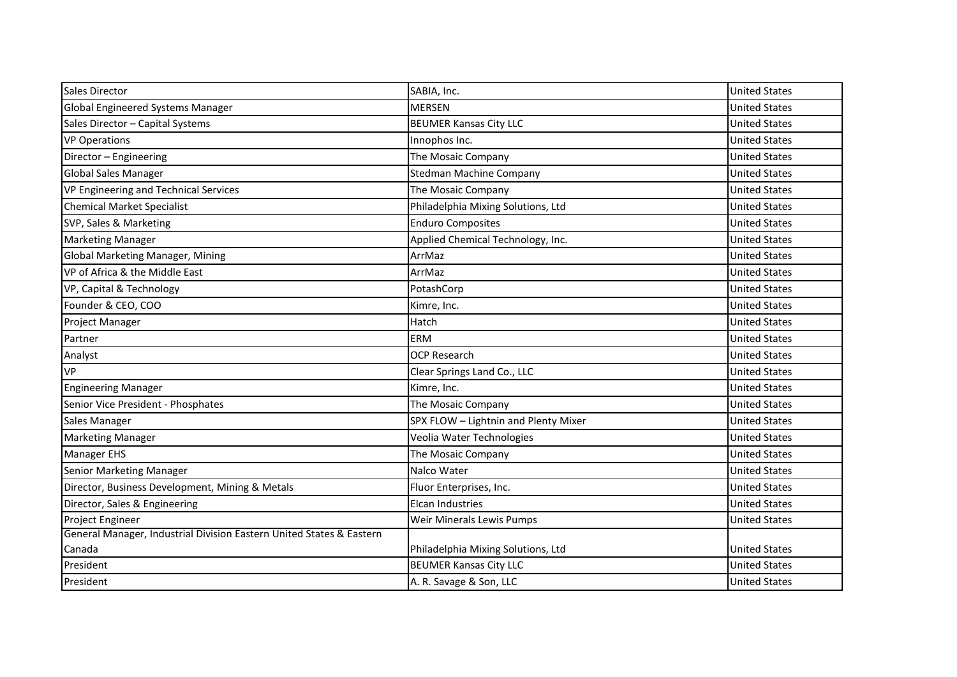| <b>Sales Director</b>                                                | SABIA, Inc.                          | <b>United States</b> |
|----------------------------------------------------------------------|--------------------------------------|----------------------|
| <b>Global Engineered Systems Manager</b>                             | <b>MERSEN</b>                        | <b>United States</b> |
| Sales Director - Capital Systems                                     | <b>BEUMER Kansas City LLC</b>        | <b>United States</b> |
| <b>VP Operations</b>                                                 | Innophos Inc.                        | <b>United States</b> |
| Director - Engineering                                               | The Mosaic Company                   | <b>United States</b> |
| <b>Global Sales Manager</b>                                          | <b>Stedman Machine Company</b>       | <b>United States</b> |
| VP Engineering and Technical Services                                | The Mosaic Company                   | <b>United States</b> |
| Chemical Market Specialist                                           | Philadelphia Mixing Solutions, Ltd   | <b>United States</b> |
| SVP, Sales & Marketing                                               | <b>Enduro Composites</b>             | <b>United States</b> |
| <b>Marketing Manager</b>                                             | Applied Chemical Technology, Inc.    | <b>United States</b> |
| Global Marketing Manager, Mining                                     | ArrMaz                               | <b>United States</b> |
| VP of Africa & the Middle East                                       | ArrMaz                               | <b>United States</b> |
| VP, Capital & Technology                                             | PotashCorp                           | <b>United States</b> |
| Founder & CEO, COO                                                   | Kimre, Inc.                          | <b>United States</b> |
| Project Manager                                                      | Hatch                                | <b>United States</b> |
| Partner                                                              | <b>ERM</b>                           | <b>United States</b> |
| Analyst                                                              | <b>OCP Research</b>                  | <b>United States</b> |
| <b>VP</b>                                                            | Clear Springs Land Co., LLC          | <b>United States</b> |
| <b>Engineering Manager</b>                                           | Kimre, Inc.                          | <b>United States</b> |
| Senior Vice President - Phosphates                                   | The Mosaic Company                   | <b>United States</b> |
| Sales Manager                                                        | SPX FLOW - Lightnin and Plenty Mixer | <b>United States</b> |
| <b>Marketing Manager</b>                                             | Veolia Water Technologies            | <b>United States</b> |
| <b>Manager EHS</b>                                                   | The Mosaic Company                   | <b>United States</b> |
| Senior Marketing Manager                                             | Nalco Water                          | <b>United States</b> |
| Director, Business Development, Mining & Metals                      | Fluor Enterprises, Inc.              | <b>United States</b> |
| Director, Sales & Engineering                                        | Elcan Industries                     | <b>United States</b> |
| Project Engineer                                                     | Weir Minerals Lewis Pumps            | <b>United States</b> |
| General Manager, Industrial Division Eastern United States & Eastern |                                      |                      |
| Canada                                                               | Philadelphia Mixing Solutions, Ltd   | <b>United States</b> |
| President                                                            | <b>BEUMER Kansas City LLC</b>        | <b>United States</b> |
| President                                                            | A. R. Savage & Son, LLC              | <b>United States</b> |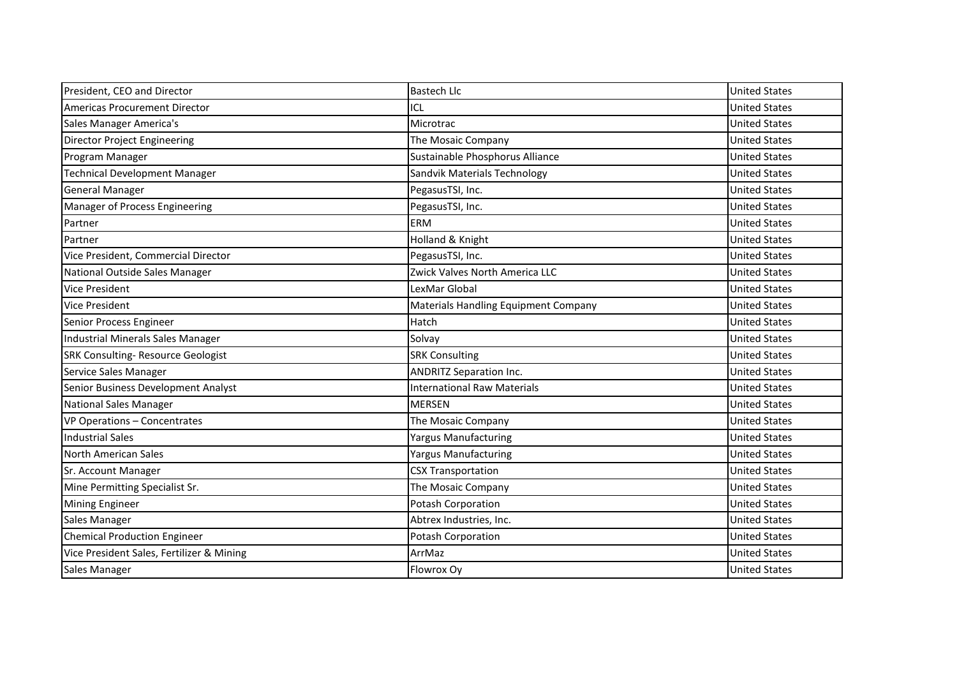| President, CEO and Director               | <b>Bastech Llc</b>                          | <b>United States</b> |
|-------------------------------------------|---------------------------------------------|----------------------|
| <b>Americas Procurement Director</b>      | ICL                                         | <b>United States</b> |
| Sales Manager America's                   | Microtrac                                   | <b>United States</b> |
| <b>Director Project Engineering</b>       | The Mosaic Company                          | <b>United States</b> |
| Program Manager                           | Sustainable Phosphorus Alliance             | <b>United States</b> |
| <b>Technical Development Manager</b>      | Sandvik Materials Technology                | <b>United States</b> |
| <b>General Manager</b>                    | PegasusTSI, Inc.                            | <b>United States</b> |
| Manager of Process Engineering            | PegasusTSI, Inc.                            | <b>United States</b> |
| Partner                                   | <b>ERM</b>                                  | <b>United States</b> |
| Partner                                   | Holland & Knight                            | <b>United States</b> |
| Vice President, Commercial Director       | PegasusTSI, Inc.                            | <b>United States</b> |
| National Outside Sales Manager            | Zwick Valves North America LLC              | <b>United States</b> |
| <b>Vice President</b>                     | LexMar Global                               | <b>United States</b> |
| <b>Vice President</b>                     | <b>Materials Handling Equipment Company</b> | <b>United States</b> |
| Senior Process Engineer                   | Hatch                                       | <b>United States</b> |
| Industrial Minerals Sales Manager         | Solvay                                      | <b>United States</b> |
| <b>SRK Consulting- Resource Geologist</b> | <b>SRK Consulting</b>                       | <b>United States</b> |
| Service Sales Manager                     | <b>ANDRITZ Separation Inc.</b>              | <b>United States</b> |
| Senior Business Development Analyst       | <b>International Raw Materials</b>          | <b>United States</b> |
| <b>National Sales Manager</b>             | <b>MERSEN</b>                               | <b>United States</b> |
| VP Operations - Concentrates              | The Mosaic Company                          | <b>United States</b> |
| <b>Industrial Sales</b>                   | <b>Yargus Manufacturing</b>                 | <b>United States</b> |
| North American Sales                      | <b>Yargus Manufacturing</b>                 | <b>United States</b> |
| Sr. Account Manager                       | <b>CSX Transportation</b>                   | <b>United States</b> |
| Mine Permitting Specialist Sr.            | The Mosaic Company                          | <b>United States</b> |
| <b>Mining Engineer</b>                    | Potash Corporation                          | <b>United States</b> |
| Sales Manager                             | Abtrex Industries, Inc.                     | <b>United States</b> |
| <b>Chemical Production Engineer</b>       | Potash Corporation                          | <b>United States</b> |
| Vice President Sales, Fertilizer & Mining | ArrMaz                                      | <b>United States</b> |
| Sales Manager                             | Flowrox Oy                                  | <b>United States</b> |